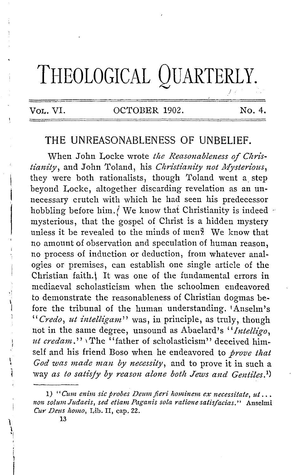# **THEOLOGICAL QUARTERLY.**

**VOL.** VI. OCTOBER 1902. No. 4.

 $\prime$  :

# **THE** UNREASONABLENESS OF **UNBELIEF.**

When John Locke wrote the Reasonableness of Chris*tianity*, and John Toland, his *Christianity not Mysterious*, they were both rationalists, though Toland went a step beyond Locke, altogether discarding revelation as an unnecessary crutch with which he had seen his predecessor hobbling before him. *(We know that Christianity is indeed* mysterious, that the gospel of Christ is a hidden mystery unless it be revealed to the minds of men $\frac{9}{2}$ . We know that no amount of observation and speculation of human reason, no process of induction or deduction, from whatever analogies or premises, can establish one single article of the Christian faith. It was one of the fundamental errors in mediaeval scholasticism when the schoolmen endeavored to demonstrate the reasonableness of Christian dogmas before the tribunal of the human understanding. 1Anselm's *"Credo, ut intellzgam"* was, in principle, as truly, though not in the same degree, unsound as Abaelard's "*Intelligo*, *ut credam.*" *The* "father of scholasticism" deceived himself and his friend Boso when he endeavored to *prove that God was made man by necessity,* and to prove it in such a way *as to satisfy by reason alone both Jews and Gentiles.*<sup>1</sup>)

\  $\mathbf{i}$ '!

<sup>1) &</sup>quot;Cum enim sic probes Deum fieri hominem ex necessitate, ut... non solum Judaeis, sed etiam Paganis sola ratione satisfacias." Anselmi *Cur Deus llomo,* Lib. II, cap. 22.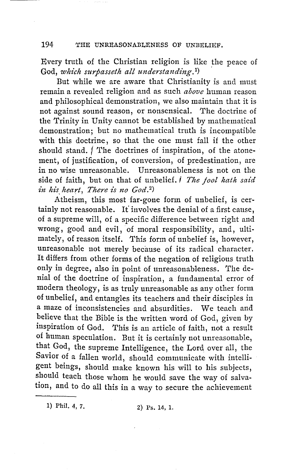Every truth of the Christian religion is like the peace of God, which surpasseth all understanding.<sup>1</sup>)

But while we are aware that Christianity is and must remain a revealed religion and as such *above* human reason and philosophical demonstration, we also maintain that it is not against sound reason, or nonsensical. The doctrine of the Trinity in Unity cannot be established by mathematical demonstration; but no mathematical truth is incompatible with this doctrine, so that the one must fall if the other should stand. The doctrines of inspiration, of the atonement, of justification, of conversion, of predestination, are in no wise unreasonable. Unreasonableness is not on the side of faith, but on that of unbelief. I *The fool hath said in his\_ heart, There is no God. 2)* 

Atheism, this most far-gone form of unbelief, is certainly not reasonable. It' involves the denial of a first cause, of a supreme will, of a specific difference between right and wrong, good and evil, of moral responsibility, and, ultimately, of reason itself. This form of unbelief is, however, unreasonable not merely because of its radical character. It differs from other forms of the negation of religious truth only in degree, also in point of unreasonableness. The denial of the doctrine of inspiration, a fundamental error of modern theology, is as truly unreasonable as any other form of unbelief, and entangles its teachers and their disciples in a maze of inconsistencies and absurdities. We teach and believe that the Bible is the written word of God, given by inspiration of God. This is an article of faith, not a result of human speculation. But it is certainly not unreasonable, that God, the supreme Intelligence, the Lord. over all, the Savior of a fallen world, should communicate with intelligent beings, should make known his will to his subjects, should teach those whom he would save the way of salvation, and to do all this in a way to secure the achievement

1) Phil. 4, 7. 2) Ps. 14, 1.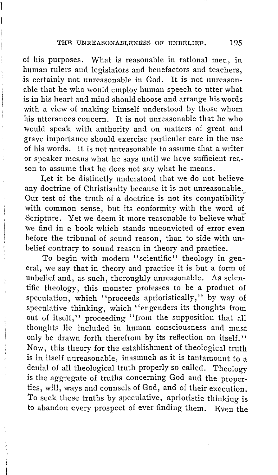of his purposes. What is reasonable in rational men, in human rulers and legislators and benefactors and teachers, is certainly not unreasonable in God. It is not unreasonable that he who would employ human speech to utter what is in his heart and mind should choose and arrange his words with a view of making himself understood by those whom his utterances concern. It is not unreasonable that he who would speak with authority and on matters of great and grave importance should exercise particular care in the use of his words. It is not unreasonable to assume that a writer or speaker means what he says until we have sufficient reason to assume that he does not say what he means.

Let it be distinctly understood that we do not believe any doctrine of Christianity because it is not unreasonable. Our test of the truth of a doctrine is not its compatibility with common sense, but its conformity with the word of Scripture. Yet we deem it more reasonable to believe what we find in a book which stands unconvicted of error even before the tribunal of sound reason, than to side with unbelief contrary to sound reason in theory and practice.

To begin with modern "scientific" theology in general, we say that in theory and practice it is but a form of unbelief and, as such, thoroughly unreasonable. As scientific theology, this monster professes to be a product of speculation, which ''proceeds aprioristically,'' by way of speculative thinking, which "engenders its thoughts from out of itself," proceeding "from the supposition that all thoughts lie included in human consciousness and must only be drawn forth therefrom by its reflection on itself.'' Now, this theory for the establishment of theological truth is in itself unreasonable, inasmuch as it is tantamount to a denial of all theological truth properly so called. Theology is the aggregate of truths concerning God and the properties, will, ways and counsels of God, and of their execution. *To* seek these truths by speculative, aprioristic thinking is to abandon every prospect of ever finding them. Even the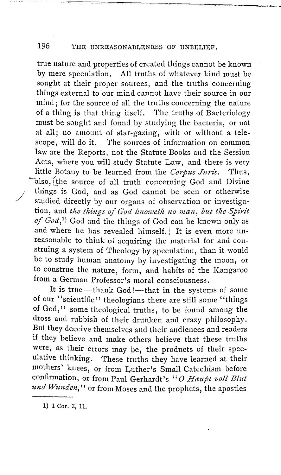true nature and properties of created things cannot be known by mere speculation. All truths of whatever kind must be sought at their proper sources, and the truths concerning things external to our mind cannot have their source in our mind; for the source of all the truths concerning the nature of a thing is that thing itself. 'I'he truths of Bacteriology must be sought and found by studying the bacteria, or not at all; no amount of star-gazing, with or without a tele-The sources of information on common law are the Reports, not the Statute Books and the Session Acts, where you will study Statute Law, and there is very little Botany to be learned from the *Corpus Juris.* Thus, also, the source of all truth concerning God and Divine things is God, and as God cannot be seen or otherwise studied directly by our organs of observation or investigation, and *the things of God knoweth no man, but the Spirit of God,1)* God and the things of God can be known only as and where he has revealed himself.) It is even more unreasonable to think of acquiring the material for and construing a system of Theology by speculation, than it would be to study human anatomy by investigating the moon, or to construe the nature, form, and habits of the Kangaroo from a German Professor's moral consciousness.

It is true-thank God!-that in the systems of some of our "scientific" theologians there are still some "things of God," some theological truths, to be found among the dross and rubbish of their drunken and crazy philosophy. But they deceive themselves and their audiences and readers if they believe and make others believe that these truths were, as their errors may be, the products of their speculative thinking. These truths they have learned at their mothers' knees, or from Luther's Small Catechism before confirmation, or from Paul Gerhardt's '' 0 *Haupt voll Blut und Wunden,* '' or from Moses and the prophets, the apostles

1) 1 Cor. 2, 11.

./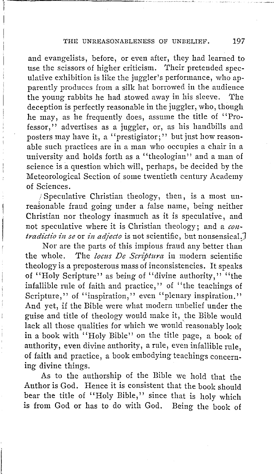and evangelists, before, or even after, they had learned to use the scissors of higher criticism. Their pretended speculative exhibition is like the juggler's performance, who apparently produces from a silk hat borrowed in the audience the young rabbits he had stowed away in his sleeve. The deception is perfectly reasonable in the juggler, who, though he may, as he frequently does, assume the title of "Professor," advertises as a juggler, or, as his handbills and posters may have it, a "prestigiator;" but just how reasonable such practices are in a man who occupies a chair in a university and holds forth as a ''theologian'' and a man of science is a question which will, perhaps, be decided by the Meteorological Section of some twentieth century Academy of Sciences.

; Speculative Christian theology, then, is a most unreasonable fraud going under a false name, being neither Christian nor theology inasmuch as it is speculative, and not speculative where it is Christian theology; and a *contradictio in se* or *in adjecto* is not scientific, but nonsensical.

Nor are the parts of this impious fraud any better than the whole. The *locus De Scriptura* in modern scientific theology is a preposterous mass of inconsistencies. It speaks of "Holy Scripture" as being of "divine authority," "the infallible rule of faith and practice," of "the teachings of Scripture," of "inspiration," even "plenary inspiration." And yet, if the Bible were what modern unbelief under the guise and title of theology would make it, the Bible would lack all those qualities for which we would reasonably look in a book with "Holy Bible" on the title page, a book of authority, even divine authority, a rule, even infallible rule, of faith and practice, a book embodying teachings concerning divine things.

As to the authorship of the Bible we hold that the Author is God. Hence it is consistent that the book should bear the title of "Holy Bible," since that is holy which is from God or has to do with God. Being the book of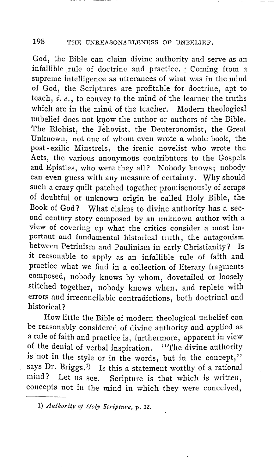God, the Bible can claim divine authority and serve as an infallible rule of doctrine and practice.  $\sqrt{2}$  Coming from a supreme intelligence as utterances of what was in the mind of God, the Scriptures are profitable for doctrine, apt to teach, *£. e.,* to convey to the mind of the learner the truths which are in the mind of the teacher. Modern theological unbelief does not know the author or authors of the Bible. The Elohist, the Jehovist, the Deuteronomist, the Great Unknown, not one of whom even wrote a whole book, the post- exilic Minstrels, the irenic novelist who wrote the Acts, the various anonymous contributors to the Gospels and Epistles, who were they all? Nobody knows; nobody can even guess with any measure of certainty. Why should such a crazy quilt patched together promiscuously of scraps of doubtful or unknown origin be called Holy Bible, the Book of God? What claims to divine authority has a second century story composed by an unknown author with a view of covering up what the critics consider a most important and fundamental historical truth, the antagonism between Petrinism and Paulinism in early Christianity? Is it reasonable to apply as an infallible rule of faith and practice what we find in a collection of literary fragments composed, nobody knows by whom, dovetailed or loosely stitched together, nobody knows when, and replete with errors and irreconcilable contradictions, both doctrinal and historical?

How little the Bible of modern theological unbelief can be reasonably considered of divine authority and applied as a rule of faith and practice is, furthermore, apparent in view of the denial of verbal inspiration. ''The divine authority is not in the style or in the words, but in the concept," says Dr. Briggs.<sup>1</sup>) Is this a statement worthy of a rational mind? Let us see. Scripture is that which is written, concepts not in the mind in which they were conceived,

I) *Authority of Holy Scripture,* p. 32.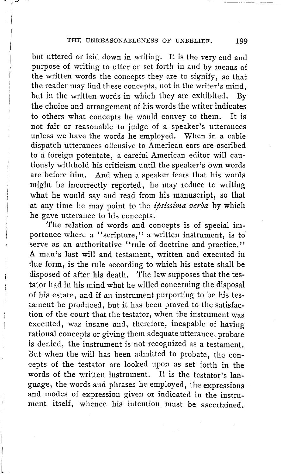but uttered or laid down in writing. It is the very end and purpose of writing to utter or set forth in and by means of the written words the concepts they are to signify, so that the reader may find these concepts, not in the writer's mind, but in the written words in which they are exhibited. By the choice and arrangement of his words the writer indicates to others what concepts he would convey to them. It is not fair or reasonable to judge of a speaker's utterances unless we have the words he employed. When in a cable dispatch utterances offensive to American ears are ascribed to a foreign potentate, a careful American editor will cautiously withhold his criticism until the speaker's own words are before him. And when a speaker fears that his words might be incorrectly reported, he may reduce to writing what he would say and read from his manuscript, so that at any time he may point to the *zpslsslma verba* by which he gave utterance to his concepts.

The relation of words and concepts is of special importance where a "scripture," a written instrument, is to serve as an authoritative "rule of doctrine and practice." **A** man's last will and testament, written and executed **in**  due form, is the rule according to which his estate shall be disposed of after his death. The law supposes that the testator had in his mind what he willed concerning the disposal of his estate, and if an instrument purporting to be his testament be produced, but it has been proved to the satisfaction of the court that the testator, when the instrument was executed, was insane and, therefore, incapable of having rational concepts or giving them adequate utterance, probate is denied, the instrument is not recognized as a testament. But when the will has been admitted to probate, the concepts of the testator are looked upon as set forth in the words of the written instrument. It is the testator's language, the words and phrases he employed, the expressions and modes of expression given or indicated in the instrument itself, whence his intention must be ascertained.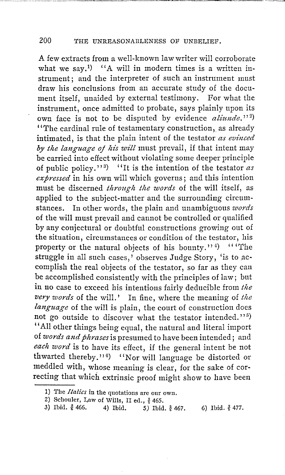A few extracts from a well-known law writer will corroborate what we say.<sup>1)</sup> "A will in modern times is a written instrument; and the interpreter of such an instrument must draw his conclusions from an accurate study of the document itself, unaided by external testimony. For what the instrument, once admitted to probate, says plainly upon its own face is not to be disputed by evidence *aliunde*."<sup>2</sup>) "The cardinal rule of testamentary construction, as already intimated, is that the plain intent of the testator *as evinced* by the language of his will must prevail, if that intent may be carried into effect without violating some deeper principle of public policy." <sup>3</sup> ) "It is the intention of the testator *as expressed* in his own will which governs; and this intention must be discerned *through the words* of the will itself, as applied to the subject-matter and the surrounding circumstances. In other words, the plain and unambiguous *words*  of the will must prevail and cannot be controlled or qualified by any conjectural or doubtful constructions growing out of the situation, circumstances or condition of the testator, his property or the natural objects of his bounty."<sup>4</sup>  $\cdots$  The struggle in all such cases,' observes Judge Story, 'is to accomplish the real objects of the testator, so far as they can be accomplished consistently with the principles of law; but in no case to exceed his intentions fairly deducible from *the very words* of the will.' In fine, where the meaning of *the language* of the will is plain, the court of construction does not go outside to discover what the testator intended.''<sup>5)</sup> '' All other things being equal, the natural and literal import of *words and phrases* is presumed to have been intended; and *each word* is to have its effect, if the general intent be not thwarted thereby." $6$ ) "Nor will language be distorted or meddled with, whose meaning is clear, for the sake of correcting that which extrinsic proof might show to have been

<sup>1)</sup> The *Italics* in the quotations are our own.

<sup>2)</sup> Schouler, Law of Wills, II ed.,  $\frac{3}{465}$ .<br>3) Ibid.  $\frac{3}{466}$ . 4) Ibid. 5) Ibid.

<sup>3)</sup> Ibid. § 466. 4) Ibid. *5)* Ibid. § 467. 6) Ibid. § 477.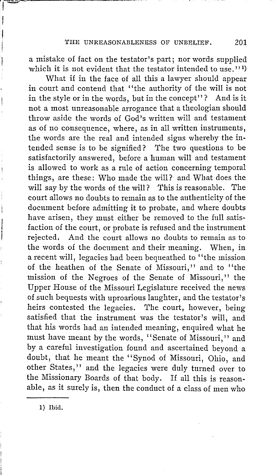a mistake of fact on the testator's part; nor words supplied which it is not evident that the testator intended to use.''<sup>1</sup>)

What if in the face of all this a lawyer should appear in court and contend that "the authority of the will is not in the style or in the words, but in the concept"? And is it not a most unreasonable arrogance that a theologian should throw aside the words of God's written will and testament as of no consequence, where, as in all written instruments, the words are the real and intended signs whereby the intended sense is to be signified? The two questions to be satisfactorily answered, before a human will and testament is allowed to work as a rule of action concerning temporal things, are these: Who made the will? and What does the will say by the words of the will? This is reasonable. The court allows no doubts to remain as to the authenticity of the document before admitting it to probate, and where doubts have arisen, they must either be removed to the full satisfaction of the court, or probate is refused and the instrument rejected. And the court allows no doubts to remain as to the words of the document and their meaning. When, in a recent will, legacies had been bequeathed to "the mission of the heathen of the Senate of Missouri,'' and to ''the mission of the Negroes of the Senate of Missouri," the Upper House of the Missouri Legislature received the news of such bequests with uproarious laughter, and the testator's heirs contested the legacies. The court, however, being satisfied that the instrument was the testator's will, and that his words had an intended meaning, enquired what he must have meant by the words, '' Senate of Missouri,'' and by a careful investigation found and ascertained beyond a doubt, that he meant the "Synod of Missouri, Ohio, and other States,'' and the legacies were duly turned over to the Missionary Boards of that body. If all this is reasonable, as it surely is, then the conduct of a class of men who

1) Ibid.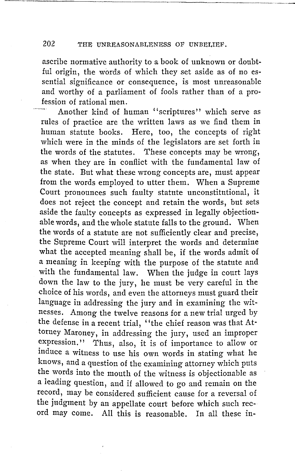ascribe normative authority to a book of unknown or doubtful origin, the words of which they set aside as of no essential significance or consequence, is most unreasonable and worthy of a parliament of fools rather than of a profession of rational men.

Another kind of human "scriptures" which serve as rules of practice are the written laws as we find them in human statute books. Here, too, the concepts of right which were in the minds of the legislators are set forth in the words of the statutes. These concepts may be wrong, as when they are in conflict with the fundamental law of the state. But what these wrong concepts are, must appear from the words employed to utter them. When a Supreme Court pronounces such faulty statute unconstitutional, it does not reject the concept and retain the words, but sets aside the faulty concepts as expressed in legally objectionable words, and the whole statute falls to the ground. When the words of a statute are not sufficiently clear and precise, the Supreme Court will interpret the words and determine what the accepted meaning shall be, if the words admit of a meaning in keeping with the purpose of the statute and with the fundamental law. When the judge in court lays down the law to the jury, he must be very careful in the choice of his words, and even the attorneys must guard their language in addressing the jury and in examining the witnesses. Among the twelve reasons for a new trial urged by the defense in a recent trial, ''the chief reason was that Attorney Maroney, in addressing the jury, used an improper expression." Thus, also, it is of importance to allow or induce a witness to use his own words in stating what he knows, and a question of the examining attorney which puts the words into the mouth of the witness is objectionable as a leading question, and if allowed to go and remain on the record, may be considered sufficient cause for a reversal of the judgment by an appellate court before which such record may come. All this is reasonable. In all these in-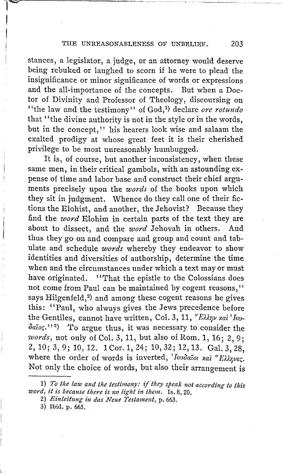stances, a legislator, a judge, or an attorney would deserve being rebuked or laughed to scorn if he were to plead the insignificance or minor significance of words or expressions and the all-importance of the concepts. But when a Doctor of Divinity and Professor of Theology, discoursing on "the law and the testimony" of God,1) declare *ore rotundo*  that ''the divine authority is not in the style or in the words, but in the concept,'' his hearers look wise and salaam the exalted prodigy at whose great feet it is their cherished privilege to be most unreasonably humbugged.

It is, of course, but another inconsistency, when these same men, in their critical gambols, with an astounding expense of time and labor base and construct their chief arguments precisely upon the *words* of the books upon which they sit in judgment. Whence do they call one of their fictions the Elohist, and another, the Jehovist? Because they find the *word* Elohim in certain parts of the text they are about to dissect, and the *word* Jehovah in others. And thus they go on and compare and group and count and tabulate and schedule *words* whereby they endeavor to show identities and diversities of authorship, determine the time when and the circumstances under which a text may or must have originated. "That the epistle to the Colossians does not come from Paul can be maintained by cogent reasons,'' says Hilgenfeld, $2$ ) and among these cogent reasons he gives this: "Paul, who always gives the Jews precedence before the Gentiles, cannot have written, Col. 3, 11, "Ελλην και 'Iou*oaior;.''* <sup>3</sup> ) To argue thus, it was necessary to consider the *words,* not only of Col. 3, 11, but also of Rom. 1, 16; 2, 9; 2, 10; 3, 9; 10, 12. 1 Cor.1, 24; 10, 32; 12, 13. Gal. 3, 28, where the order of words is inverted, '*Ιουδαΐοι καλ* "Ελληνες. Not only the choice of words, but also their arrangement is

<sup>1)</sup> To the law and the testimony: if they speak not according to this *word, it is because there is no light in them.* Is. 8, 20.

<sup>2)</sup> *Einleitung in das Neue Testament*, p. 663.

<sup>3)</sup> Ibid. p. 665.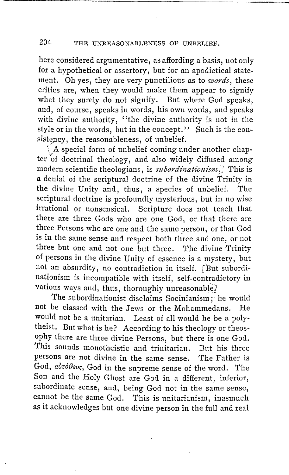here considered argumentative, as affording a basis, not only for a hypothetical or assertory, but for an apodictical statement. Oh yes, they are very punctilious as to *words,* these critics are, when they would make them appear to signify what they surely do not signify. But where God speaks, and, of course, speaks in words, his own words, and speaks with divine authority, ''the divine authority is not in the style or in the words, but in the concept.'' Such is the consistency, the reasonableness, of unbelief.

 $\int$  A special form of unbelief coming under another chapter of doctrinal theology, and also widely diffused among modern scientific theologians, is *subordinationism*.<sup>7</sup> This is a denial of the scriptural doctrine of the divine Trinity in the divine Unity and, thus, a species of unbelief. The scriptural doctrine is profoundly mysterious, but in no wise irrational or nonsensical. Scripture does not teach that there are three Gods who are one God, or that there are three Persons who are one and the same person, or that God is in the same sense and respect both three and one, or not three but one and not one but three. The divine Trinity of persons in the divine Unity of essence is a mystery, but not an absurdity, no contradiction in itself. [But subordinationism is incompatible with itself, self-contradictory in various ways and, thus, thoroughly unreasonable?

The subordinationist disclaims Socinianism; he would not be classed with the Jews or the Mohammedans. He would not be a unitarian. Least of all would he be a polytheist. But what is he? According to his theology or theosophy there are three divine Persons, but there is one God. This sounds monotheistic and trinitarian. But his three persons are not divine in the same sense. The Father is God, adrodeos, God in the supreme sense of the word. The Son and the Holy Ghost are God in a different, inferior, subordinate sense, and, being God not in the same sense, cannot be the same God. This is unitarianism, inasmuch as it acknowledges but one divine person in the full and real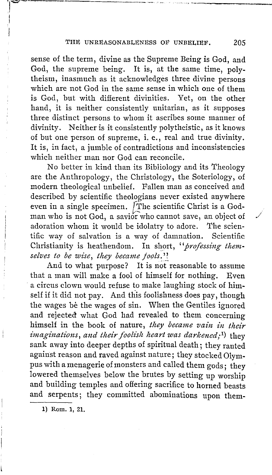sense of the term, divine as the Supreme Being is God, and God, the supreme being. It is, at the same time, polytheism, inasmuch as it acknowledges three divine persons which are not God in the same sense in which one of them is God, but with different divinities. Yet, on the other hand, it is neither consistently unitarian, as it supposes three distinct persons to whom it ascribes some manner of divinity. Neither is it consistently polytheistic, as it knows of but one person of supreme, i.e., real and true divinity. It is, in fact, a jumble of contradictions and inconsistencies which neither man nor God can reconcile.

No better in kind than its Bibliology and its Theology are the Anthropology, the Christology, the Soteriology, of modern theological unbelief. Fallen man as conceived and described by scientific theologians never existed anywhere even in a single specimen. [The scientific Christ is a Godman who is not God, a savior who cannot save, an object of adoration whom it would be idolatry to adore. The scientific way of salvation is a way of damnation. Scientific Christianity is heathendom. In short, "*professing them*selves to be wise, they became fools.''

And to what purpose? It is not reasonable to assume that a man will make a fool of himself for nothing. Even a circus clown would refuse to make laughing stock of himself if it did not pay. And this foolishness does pay, though the wages be the wages of sin. When the Gentiles ignored and rejected what God had revealed to them concerning himself in the book of nature, *they became vain in their imaginations, and their foolish heart was darkened;<sup>1</sup>)* they sank away into deeper depths of spiritual death; they ranted against reason and raved against nature; they stocked Olympus with a menagerie of monsters and called them gods; they lowered themselves below the brutes by setting up worship and building temples and offering sacrifice to horned beasts and serpents; they committed abominations upon them-

**1)** Rom. **1, 21.** 

 $\mathbb{R}$ 

I I

•' /